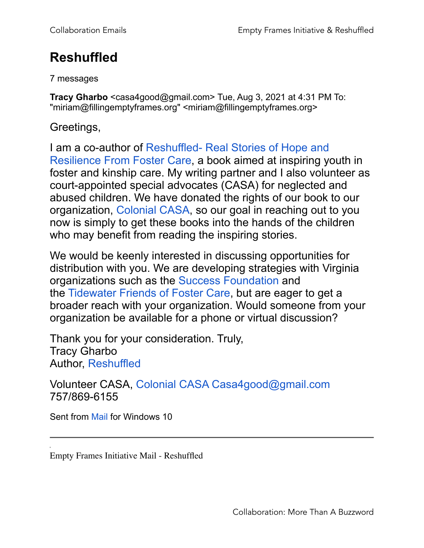## **Reshuffled**

7 messages

**Tracy Gharbo** <casa4good@gmail.com> Tue, Aug 3, 2021 at 4:31 PM To: "miriam@fillingemptyframes.org" <miriam@fillingemptyframes.org>

Greetings,

I am a co-author of Reshuffled- Real Stories of Hope and Resilience From Foster Care, a book aimed at inspiring youth in foster and kinship care. My writing partner and I also volunteer as court-appointed special advocates (CASA) for neglected and abused children. We have donated the rights of our book to our organization, Colonial CASA, so our goal in reaching out to you now is simply to get these books into the hands of the children who may benefit from reading the inspiring stories.

We would be keenly interested in discussing opportunities for distribution with you. We are developing strategies with Virginia organizations such as the Success Foundation and the Tidewater Friends of Foster Care, but are eager to get a broader reach with your organization. Would someone from your organization be available for a phone or virtual discussion?

Thank you for your consideration. Truly, Tracy Gharbo Author, Reshuffled

Volunteer CASA, Colonial CASA Casa4good@gmail.com 757/869-6155

Sent from Mail for Windows 10

Empty Frames Initiative Mail - Reshuffled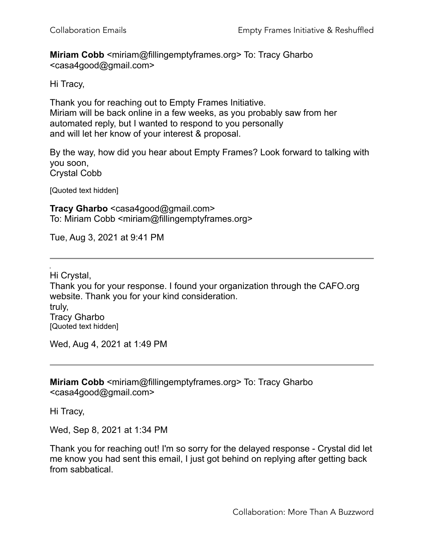**Miriam Cobb** <miriam@fillingemptyframes.org> To: Tracy Gharbo <casa4good@gmail.com>

Hi Tracy,

Thank you for reaching out to Empty Frames Initiative. Miriam will be back online in a few weeks, as you probably saw from her automated reply, but I wanted to respond to you personally and will let her know of your interest & proposal.

By the way, how did you hear about Empty Frames? Look forward to talking with you soon, Crystal Cobb

[Quoted text hidden]

**Tracy Gharbo** <casa4good@gmail.com> To: Miriam Cobb <miriam@fillingemptyframes.org>

Tue, Aug 3, 2021 at 9:41 PM

Hi Crystal, Thank you for your response. I found your organization through the CAFO.org website. Thank you for your kind consideration. truly, Tracy Gharbo [Quoted text hidden]

Wed, Aug 4, 2021 at 1:49 PM

**Miriam Cobb** <miriam@fillingemptyframes.org> To: Tracy Gharbo <casa4good@gmail.com>

Hi Tracy,

Wed, Sep 8, 2021 at 1:34 PM

Thank you for reaching out! I'm so sorry for the delayed response - Crystal did let me know you had sent this email, I just got behind on replying after getting back from sabbatical.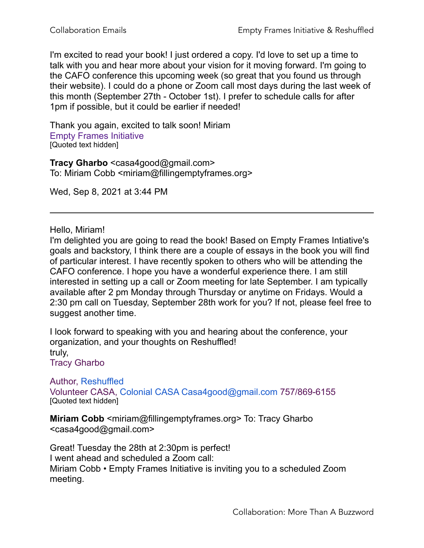I'm excited to read your book! I just ordered a copy. I'd love to set up a time to talk with you and hear more about your vision for it moving forward. I'm going to the CAFO conference this upcoming week (so great that you found us through their website). I could do a phone or Zoom call most days during the last week of this month (September 27th - October 1st). I prefer to schedule calls for after 1pm if possible, but it could be earlier if needed!

Thank you again, excited to talk soon! Miriam Empty Frames Initiative [Quoted text hidden]

**Tracy Gharbo** <casa4good@gmail.com> To: Miriam Cobb <miriam@fillingemptyframes.org>

Wed, Sep 8, 2021 at 3:44 PM

Hello, Miriam!

I'm delighted you are going to read the book! Based on Empty Frames Intiative's goals and backstory, I think there are a couple of essays in the book you will find of particular interest. I have recently spoken to others who will be attending the CAFO conference. I hope you have a wonderful experience there. I am still interested in setting up a call or Zoom meeting for late September. I am typically available after 2 pm Monday through Thursday or anytime on Fridays. Would a 2:30 pm call on Tuesday, September 28th work for you? If not, please feel free to suggest another time.

I look forward to speaking with you and hearing about the conference, your organization, and your thoughts on Reshuffled! truly, Tracy Gharbo

Author, Reshuffled

Volunteer CASA, Colonial CASA Casa4good@gmail.com 757/869-6155 [Quoted text hidden]

**Miriam Cobb** <miriam@fillingemptyframes.org> To: Tracy Gharbo <casa4good@gmail.com>

Great! Tuesday the 28th at 2:30pm is perfect! I went ahead and scheduled a Zoom call: Miriam Cobb • Empty Frames Initiative is inviting you to a scheduled Zoom meeting.